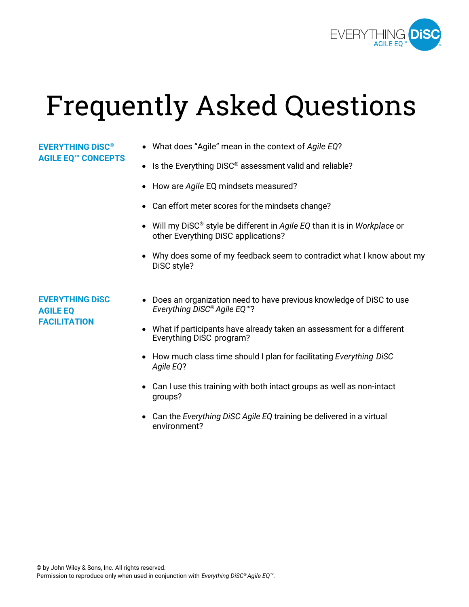

# Frequently Asked Questions

#### **EVERYTHING DiSC® AGILE EQ™ CONCEPTS**

- What does "Agile" mean in the context of *Agile EQ*?
- Is the Everything DiSC<sup>®</sup> assessment valid and reliable?
- How are *Agile* EQ mindsets measured?
- Can effort meter scores for the mindsets change?
- Will my DiSC® style be different in *Agile EQ* than it is in *Workplace* or other Everything DiSC applications?
- Why does some of my feedback seem to contradict what I know about my DiSC style?

**EVERYTHING DiSC AGILE EQ FACILITATION**

- Does an organization need to have previous knowledge of DiSC to use *Everything DiSC® Agile EQ™*?
- What if participants have already taken an assessment for a different Everything DiSC program?
- How much class time should I plan for facilitating *Everything DiSC Agile EQ*?
- Can I use this training with both intact groups as well as non-intact groups?
- Can the *Everything DiSC Agile EQ* training be delivered in a virtual environment?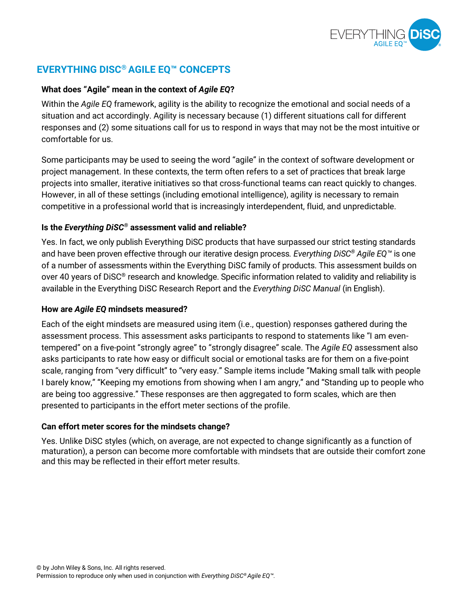

# **EVERYTHING DISC® AGILE EQ™ CONCEPTS**

#### **What does "Agile" mean in the context of** *Agile EQ***?**

Within the *Agile EQ* framework, agility is the ability to recognize the emotional and social needs of a situation and act accordingly. Agility is necessary because (1) different situations call for different responses and (2) some situations call for us to respond in ways that may not be the most intuitive or comfortable for us.

Some participants may be used to seeing the word "agile" in the context of software development or project management. In these contexts, the term often refers to a set of practices that break large projects into smaller, iterative initiatives so that cross-functional teams can react quickly to changes. However, in all of these settings (including emotional intelligence), agility is necessary to remain competitive in a professional world that is increasingly interdependent, fluid, and unpredictable.

#### **Is the** *Everything DiSC®* **assessment valid and reliable?**

Yes. In fact, we only publish Everything DiSC products that have surpassed our strict testing standards and have been proven effective through our iterative design process*. Everything DiSC® Agile EQ™* is one of a number of assessments within the Everything DiSC family of products. This assessment builds on over 40 years of DiSC® research and knowledge. Specific information related to validity and reliability is available in the Everything DiSC Research Report and the *Everything DiSC Manual* (in English).

#### **How are** *Agile EQ* **mindsets measured?**

Each of the eight mindsets are measured using item (i.e., question) responses gathered during the assessment process. This assessment asks participants to respond to statements like "I am eventempered" on a five-point "strongly agree" to "strongly disagree" scale. The *Agile EQ* assessment also asks participants to rate how easy or difficult social or emotional tasks are for them on a five-point scale, ranging from "very difficult" to "very easy." Sample items include "Making small talk with people I barely know," "Keeping my emotions from showing when I am angry," and "Standing up to people who are being too aggressive." These responses are then aggregated to form scales, which are then presented to participants in the effort meter sections of the profile.

#### **Can effort meter scores for the mindsets change?**

Yes. Unlike DiSC styles (which, on average, are not expected to change significantly as a function of maturation), a person can become more comfortable with mindsets that are outside their comfort zone and this may be reflected in their effort meter results.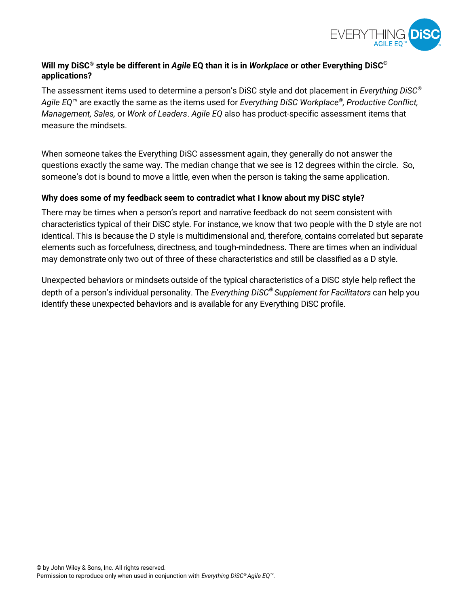

### **Will my DiSC® style be different in** *Agile* **EQ than it is in** *Workplace* **or other Everything DiSC® applications?**

The assessment items used to determine a person's DiSC style and dot placement in *Everything DiSC® Agile EQ™* are exactly the same as the items used for *Everything DiSC Workplace®, Productive Conflict, Management, Sales,* or *Work of Leaders*. *Agile EQ* also has product-specific assessment items that measure the mindsets.

When someone takes the Everything DiSC assessment again, they generally do not answer the questions exactly the same way. The median change that we see is 12 degrees within the circle. So, someone's dot is bound to move a little, even when the person is taking the same application.

#### **Why does some of my feedback seem to contradict what I know about my DiSC style?**

There may be times when a person's report and narrative feedback do not seem consistent with characteristics typical of their DiSC style. For instance, we know that two people with the D style are not identical. This is because the D style is multidimensional and, therefore, contains correlated but separate elements such as forcefulness, directness, and tough-mindedness. There are times when an individual may demonstrate only two out of three of these characteristics and still be classified as a D style.

Unexpected behaviors or mindsets outside of the typical characteristics of a DiSC style help reflect the depth of a person's individual personality. The *Everything DiSC® Supplement for Facilitators* can help you identify these unexpected behaviors and is available for any Everything DiSC profile.